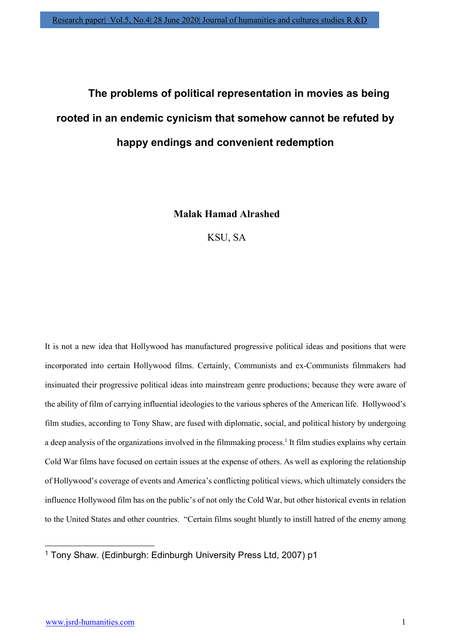# The problems of political representation in movies as being rooted in an endemic cynicism that somehow cannot be refuted by happy endings and convenient redemption

Malak Hamad Alrashed

KSU, SA

It is not a new idea that Hollywood has manufactured progressive political ideas and positions that were incorporated into certain Hollywood films. Certainly, Communists and ex-Communists filmmakers had insinuated their progressive political ideas into mainstream genre productions; because they were aware of the ability of film of carrying influential ideologies to the various spheres of the American life. Hollywood's film studies, according to Tony Shaw, are fused with diplomatic, social, and political history by undergoing a deep analysis of the organizations involved in the filmmaking process.<sup>1</sup> It film studies explains why certain Cold War films have focused on certain issues at the expense of others. As well as exploring the relationship of Hollywood's coverage of events and America's conflicting political views, which ultimately considers the influence Hollywood film has on the public's of not only the Cold War, but other historical events in relation to the United States and other countries. "Certain films sought bluntly to instill hatred of the enemy among

<sup>1</sup> Tony Shaw. (Edinburgh: Edinburgh University Press Ltd, 2007) p1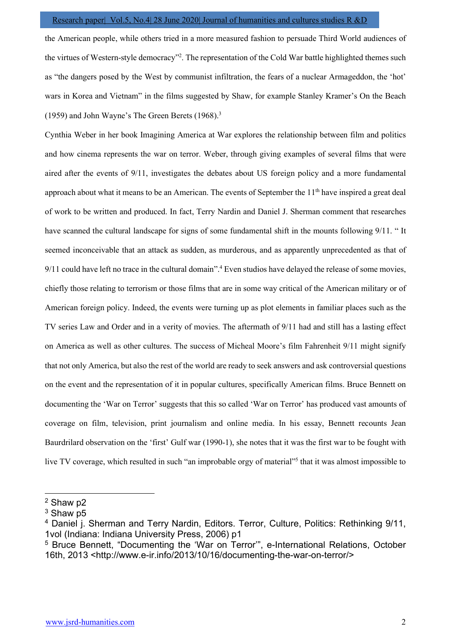the American people, while others tried in a more measured fashion to persuade Third World audiences of the virtues of Western-style democracy"<sup>2</sup> . The representation of the Cold War battle highlighted themes such as "the dangers posed by the West by communist infiltration, the fears of a nuclear Armageddon, the 'hot' wars in Korea and Vietnam" in the films suggested by Shaw, for example Stanley Kramer's On the Beach (1959) and John Wayne's The Green Berets (1968).<sup>3</sup>

Cynthia Weber in her book Imagining America at War explores the relationship between film and politics and how cinema represents the war on terror. Weber, through giving examples of several films that were aired after the events of 9/11, investigates the debates about US foreign policy and a more fundamental approach about what it means to be an American. The events of September the  $11<sup>th</sup>$  have inspired a great deal of work to be written and produced. In fact, Terry Nardin and Daniel J. Sherman comment that researches have scanned the cultural landscape for signs of some fundamental shift in the mounts following 9/11. " It seemed inconceivable that an attack as sudden, as murderous, and as apparently unprecedented as that of 9/11 could have left no trace in the cultural domain".<sup>4</sup> Even studios have delayed the release of some movies, chiefly those relating to terrorism or those films that are in some way critical of the American military or of American foreign policy. Indeed, the events were turning up as plot elements in familiar places such as the TV series Law and Order and in a verity of movies. The aftermath of 9/11 had and still has a lasting effect on America as well as other cultures. The success of Micheal Moore's film Fahrenheit 9/11 might signify that not only America, but also the rest of the world are ready to seek answers and ask controversial questions on the event and the representation of it in popular cultures, specifically American films. Bruce Bennett on documenting the 'War on Terror' suggests that this so called 'War on Terror' has produced vast amounts of coverage on film, television, print journalism and online media. In his essay, Bennett recounts Jean Baurdrilard observation on the 'first' Gulf war (1990-1), she notes that it was the first war to be fought with live TV coverage, which resulted in such "an improbable orgy of material"<sup>5</sup> that it was almost impossible to

<sup>2</sup> Shaw p2

 $^3$  Shaw p5  $\,$ 

<sup>&</sup>lt;sup>4</sup> Daniel j. Sherman and Terry Nardin, Editors. Terror, Culture, Politics: Rethinking 9/11, 1vol (Indiana: Indiana University Press, 2006) p1

<sup>&</sup>lt;sup>5</sup> Bruce Bennett, "Documenting the 'War on Terror'", e-International Relations, October 16th, 2013 <http://www.e-ir.info/2013/10/16/documenting-the-war-on-terror/>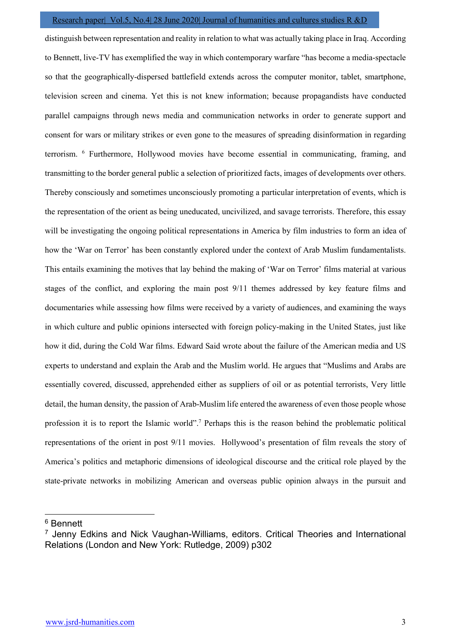distinguish between representation and reality in relation to what was actually taking place in Iraq. According to Bennett, live-TV has exemplified the way in which contemporary warfare "has become a media-spectacle so that the geographically-dispersed battlefield extends across the computer monitor, tablet, smartphone, television screen and cinema. Yet this is not knew information; because propagandists have conducted parallel campaigns through news media and communication networks in order to generate support and consent for wars or military strikes or even gone to the measures of spreading disinformation in regarding terrorism. <sup>6</sup> Furthermore, Hollywood movies have become essential in communicating, framing, and transmitting to the border general public a selection of prioritized facts, images of developments over others. Thereby consciously and sometimes unconsciously promoting a particular interpretation of events, which is the representation of the orient as being uneducated, uncivilized, and savage terrorists. Therefore, this essay will be investigating the ongoing political representations in America by film industries to form an idea of how the 'War on Terror' has been constantly explored under the context of Arab Muslim fundamentalists. This entails examining the motives that lay behind the making of 'War on Terror' films material at various stages of the conflict, and exploring the main post 9/11 themes addressed by key feature films and documentaries while assessing how films were received by a variety of audiences, and examining the ways in which culture and public opinions intersected with foreign policy-making in the United States, just like how it did, during the Cold War films. Edward Said wrote about the failure of the American media and US experts to understand and explain the Arab and the Muslim world. He argues that "Muslims and Arabs are essentially covered, discussed, apprehended either as suppliers of oil or as potential terrorists, Very little detail, the human density, the passion of Arab-Muslim life entered the awareness of even those people whose profession it is to report the Islamic world".<sup>7</sup> Perhaps this is the reason behind the problematic political representations of the orient in post 9/11 movies. Hollywood's presentation of film reveals the story of America's politics and metaphoric dimensions of ideological discourse and the critical role played by the state-private networks in mobilizing American and overseas public opinion always in the pursuit and

<sup>6</sup> Bennett

<sup>&</sup>lt;sup>7</sup> Jenny Edkins and Nick Vaughan-Williams, editors. Critical Theories and International Relations (London and New York: Rutledge, 2009) p302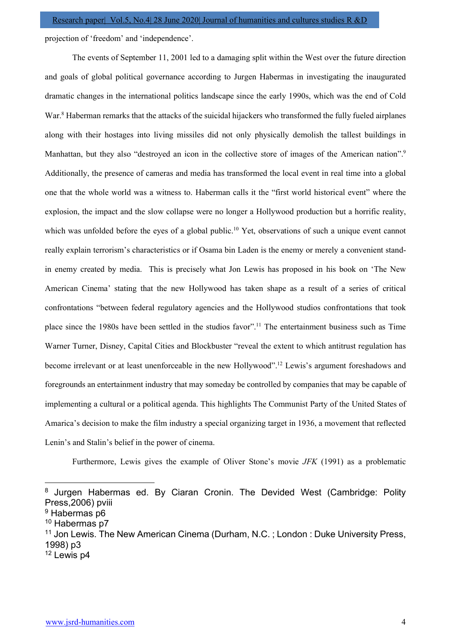projection of 'freedom' and 'independence'.

 The events of September 11, 2001 led to a damaging split within the West over the future direction and goals of global political governance according to Jurgen Habermas in investigating the inaugurated dramatic changes in the international politics landscape since the early 1990s, which was the end of Cold War.<sup>8</sup> Haberman remarks that the attacks of the suicidal hijackers who transformed the fully fueled airplanes along with their hostages into living missiles did not only physically demolish the tallest buildings in Manhattan, but they also "destroyed an icon in the collective store of images of the American nation".<sup>9</sup> Additionally, the presence of cameras and media has transformed the local event in real time into a global one that the whole world was a witness to. Haberman calls it the "first world historical event" where the explosion, the impact and the slow collapse were no longer a Hollywood production but a horrific reality, which was unfolded before the eyes of a global public.<sup>10</sup> Yet, observations of such a unique event cannot really explain terrorism's characteristics or if Osama bin Laden is the enemy or merely a convenient standin enemy created by media. This is precisely what Jon Lewis has proposed in his book on 'The New American Cinema' stating that the new Hollywood has taken shape as a result of a series of critical confrontations "between federal regulatory agencies and the Hollywood studios confrontations that took place since the 1980s have been settled in the studios favor".<sup>11</sup> The entertainment business such as Time Warner Turner, Disney, Capital Cities and Blockbuster "reveal the extent to which antitrust regulation has become irrelevant or at least unenforceable in the new Hollywood".<sup>12</sup> Lewis's argument foreshadows and foregrounds an entertainment industry that may someday be controlled by companies that may be capable of implementing a cultural or a political agenda. This highlights The Communist Party of the United States of Amarica's decision to make the film industry a special organizing target in 1936, a movement that reflected Lenin's and Stalin's belief in the power of cinema.

Furthermore, Lewis gives the example of Oliver Stone's movie JFK (1991) as a problematic

12 Lewis p4

<sup>&</sup>lt;sup>8</sup> Jurgen Habermas ed. By Ciaran Cronin. The Devided West (Cambridge: Polity Press,2006) pviii

<sup>&</sup>lt;sup>9</sup> Habermas p6

<sup>10</sup> Habermas p7

<sup>&</sup>lt;sup>11</sup> Jon Lewis. The New American Cinema (Durham, N.C.; London: Duke University Press, 1998) p3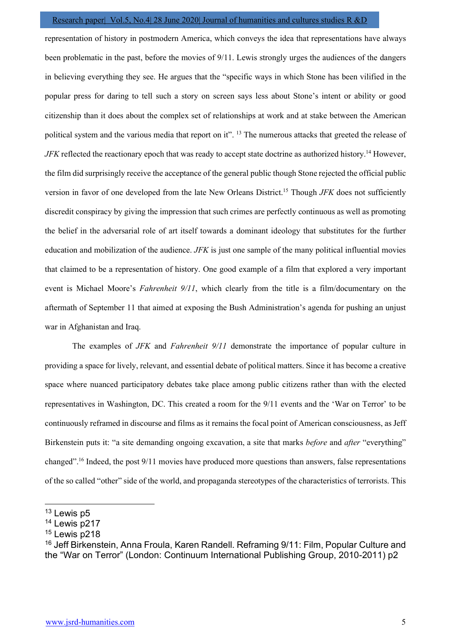representation of history in postmodern America, which conveys the idea that representations have always been problematic in the past, before the movies of 9/11. Lewis strongly urges the audiences of the dangers in believing everything they see. He argues that the "specific ways in which Stone has been vilified in the popular press for daring to tell such a story on screen says less about Stone's intent or ability or good citizenship than it does about the complex set of relationships at work and at stake between the American political system and the various media that report on it". <sup>13</sup> The numerous attacks that greeted the release of JFK reflected the reactionary epoch that was ready to accept state doctrine as authorized history.<sup>14</sup> However, the film did surprisingly receive the acceptance of the general public though Stone rejected the official public version in favor of one developed from the late New Orleans District.<sup>15</sup> Though JFK does not sufficiently discredit conspiracy by giving the impression that such crimes are perfectly continuous as well as promoting the belief in the adversarial role of art itself towards a dominant ideology that substitutes for the further education and mobilization of the audience.  $JFK$  is just one sample of the many political influential movies that claimed to be a representation of history. One good example of a film that explored a very important event is Michael Moore's Fahrenheit 9/11, which clearly from the title is a film/documentary on the aftermath of September 11 that aimed at exposing the Bush Administration's agenda for pushing an unjust war in Afghanistan and Iraq.

The examples of JFK and Fahrenheit 9/11 demonstrate the importance of popular culture in providing a space for lively, relevant, and essential debate of political matters. Since it has become a creative space where nuanced participatory debates take place among public citizens rather than with the elected representatives in Washington, DC. This created a room for the 9/11 events and the 'War on Terror' to be continuously reframed in discourse and films as it remains the focal point of American consciousness, as Jeff Birkenstein puts it: "a site demanding ongoing excavation, a site that marks *before* and *after* "everything" changed".<sup>16</sup> Indeed, the post  $9/11$  movies have produced more questions than answers, false representations of the so called "other" side of the world, and propaganda stereotypes of the characteristics of terrorists. This

<sup>13</sup> Lewis p5

<sup>&</sup>lt;sup>14</sup> Lewis p217

 $15$  Lewis p218

<sup>16</sup> Jeff Birkenstein, Anna Froula, Karen Randell. Reframing 9/11: Film, Popular Culture and the "War on Terror" (London: Continuum International Publishing Group, 2010-2011) p2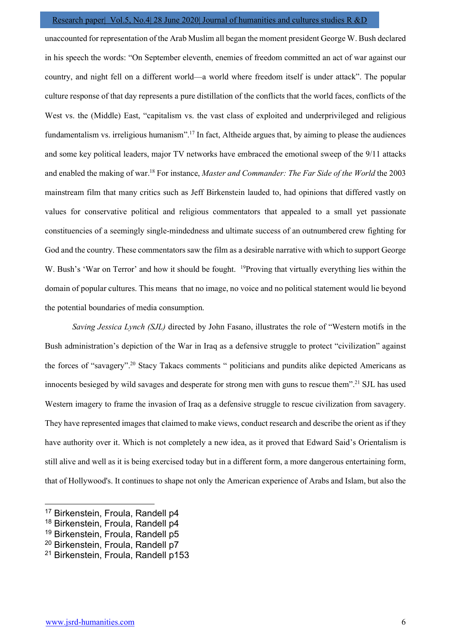unaccounted for representation of the Arab Muslim all began the moment president George W. Bush declared in his speech the words: "On September eleventh, enemies of freedom committed an act of war against our country, and night fell on a different world—a world where freedom itself is under attack". The popular culture response of that day represents a pure distillation of the conflicts that the world faces, conflicts of the West vs. the (Middle) East, "capitalism vs. the vast class of exploited and underprivileged and religious fundamentalism vs. irreligious humanism".<sup>17</sup> In fact, Altheide argues that, by aiming to please the audiences and some key political leaders, major TV networks have embraced the emotional sweep of the 9/11 attacks and enabled the making of war.<sup>18</sup> For instance, *Master and Commander: The Far Side of the World* the 2003 mainstream film that many critics such as Jeff Birkenstein lauded to, had opinions that differed vastly on values for conservative political and religious commentators that appealed to a small yet passionate constituencies of a seemingly single-mindedness and ultimate success of an outnumbered crew fighting for God and the country. These commentators saw the film as a desirable narrative with which to support George W. Bush's 'War on Terror' and how it should be fought. <sup>19</sup>Proving that virtually everything lies within the domain of popular cultures. This means that no image, no voice and no political statement would lie beyond the potential boundaries of media consumption.

Saving Jessica Lynch (SJL) directed by John Fasano, illustrates the role of "Western motifs in the Bush administration's depiction of the War in Iraq as a defensive struggle to protect "civilization" against the forces of "savagery".<sup>20</sup> Stacy Takacs comments " politicians and pundits alike depicted Americans as innocents besieged by wild savages and desperate for strong men with guns to rescue them".<sup>21</sup> SJL has used Western imagery to frame the invasion of Iraq as a defensive struggle to rescue civilization from savagery. They have represented images that claimed to make views, conduct research and describe the orient as if they have authority over it. Which is not completely a new idea, as it proved that Edward Said's Orientalism is still alive and well as it is being exercised today but in a different form, a more dangerous entertaining form, that of Hollywood's. It continues to shape not only the American experience of Arabs and Islam, but also the

<sup>17</sup> Birkenstein, Froula, Randell p4

<sup>&</sup>lt;sup>18</sup> Birkenstein, Froula, Randell p4

<sup>&</sup>lt;sup>19</sup> Birkenstein, Froula, Randell p5

<sup>20</sup> Birkenstein, Froula, Randell p7

<sup>21</sup> Birkenstein, Froula, Randell p153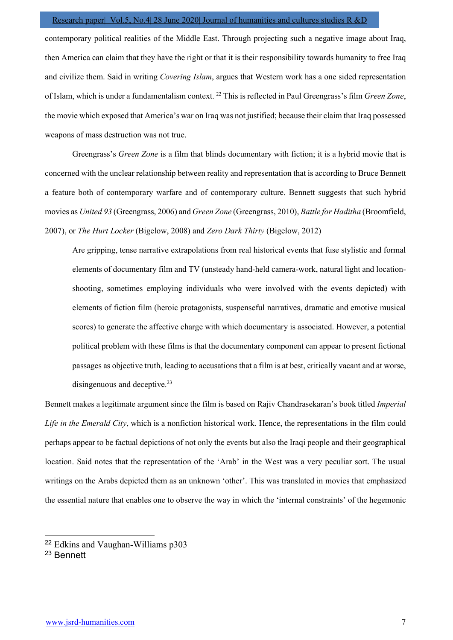contemporary political realities of the Middle East. Through projecting such a negative image about Iraq, then America can claim that they have the right or that it is their responsibility towards humanity to free Iraq and civilize them. Said in writing Covering Islam, argues that Western work has a one sided representation of Islam, which is under a fundamentalism context. <sup>22</sup> This is reflected in Paul Greengrass's film *Green Zone*, the movie which exposed that America's war on Iraq was not justified; because their claim that Iraq possessed weapons of mass destruction was not true.

 Greengrass's Green Zone is a film that blinds documentary with fiction; it is a hybrid movie that is concerned with the unclear relationship between reality and representation that is according to Bruce Bennett a feature both of contemporary warfare and of contemporary culture. Bennett suggests that such hybrid movies as United 93 (Greengrass, 2006) and Green Zone (Greengrass, 2010), Battle for Haditha (Broomfield, 2007), or The Hurt Locker (Bigelow, 2008) and Zero Dark Thirty (Bigelow, 2012)

Are gripping, tense narrative extrapolations from real historical events that fuse stylistic and formal elements of documentary film and TV (unsteady hand-held camera-work, natural light and locationshooting, sometimes employing individuals who were involved with the events depicted) with elements of fiction film (heroic protagonists, suspenseful narratives, dramatic and emotive musical scores) to generate the affective charge with which documentary is associated. However, a potential political problem with these films is that the documentary component can appear to present fictional passages as objective truth, leading to accusations that a film is at best, critically vacant and at worse, disingenuous and deceptive.<sup>23</sup>

Bennett makes a legitimate argument since the film is based on Rajiv Chandrasekaran's book titled *Imperial* Life in the Emerald City, which is a nonfiction historical work. Hence, the representations in the film could perhaps appear to be factual depictions of not only the events but also the Iraqi people and their geographical location. Said notes that the representation of the 'Arab' in the West was a very peculiar sort. The usual writings on the Arabs depicted them as an unknown 'other'. This was translated in movies that emphasized the essential nature that enables one to observe the way in which the 'internal constraints' of the hegemonic

<sup>22</sup> Edkins and Vaughan-Williams p303

<sup>23</sup> Bennett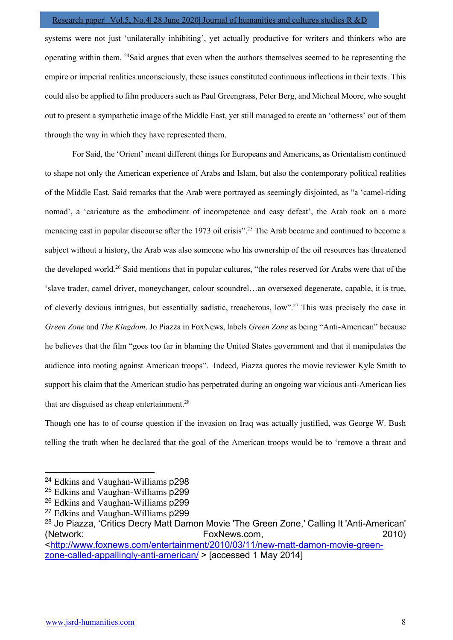systems were not just 'unilaterally inhibiting', yet actually productive for writers and thinkers who are operating within them. <sup>24</sup>Said argues that even when the authors themselves seemed to be representing the empire or imperial realities unconsciously, these issues constituted continuous inflections in their texts. This could also be applied to film producers such as Paul Greengrass, Peter Berg, and Micheal Moore, who sought out to present a sympathetic image of the Middle East, yet still managed to create an 'otherness' out of them through the way in which they have represented them.

 For Said, the 'Orient' meant different things for Europeans and Americans, as Orientalism continued to shape not only the American experience of Arabs and Islam, but also the contemporary political realities of the Middle East. Said remarks that the Arab were portrayed as seemingly disjointed, as "a 'camel-riding nomad', a 'caricature as the embodiment of incompetence and easy defeat', the Arab took on a more menacing cast in popular discourse after the 1973 oil crisis".<sup>25</sup> The Arab became and continued to become a subject without a history, the Arab was also someone who his ownership of the oil resources has threatened the developed world.<sup>26</sup> Said mentions that in popular cultures, "the roles reserved for Arabs were that of the 'slave trader, camel driver, moneychanger, colour scoundrel…an oversexed degenerate, capable, it is true, of cleverly devious intrigues, but essentially sadistic, treacherous, low".<sup>27</sup> This was precisely the case in Green Zone and The Kingdom. Jo Piazza in FoxNews, labels Green Zone as being "Anti-American" because he believes that the film "goes too far in blaming the United States government and that it manipulates the audience into rooting against American troops". Indeed, Piazza quotes the movie reviewer Kyle Smith to support his claim that the American studio has perpetrated during an ongoing war vicious anti-American lies that are disguised as cheap entertainment.<sup>28</sup>

Though one has to of course question if the invasion on Iraq was actually justified, was George W. Bush telling the truth when he declared that the goal of the American troops would be to 'remove a threat and

<sup>24</sup> Edkins and Vaughan-Williams p298

<sup>&</sup>lt;sup>25</sup> Edkins and Vaughan-Williams p299

<sup>26</sup> Edkins and Vaughan-Williams p299

<sup>&</sup>lt;sup>27</sup> Edkins and Vaughan-Williams p299

<sup>&</sup>lt;sup>28</sup> Jo Piazza, 'Critics Decry Matt Damon Movie 'The Green Zone,' Calling It 'Anti-American' (Network: FoxNews.com, 2010) <http://www.foxnews.com/entertainment/2010/03/11/new-matt-damon-movie-greenzone-called-appallingly-anti-american/ > [accessed 1 May 2014]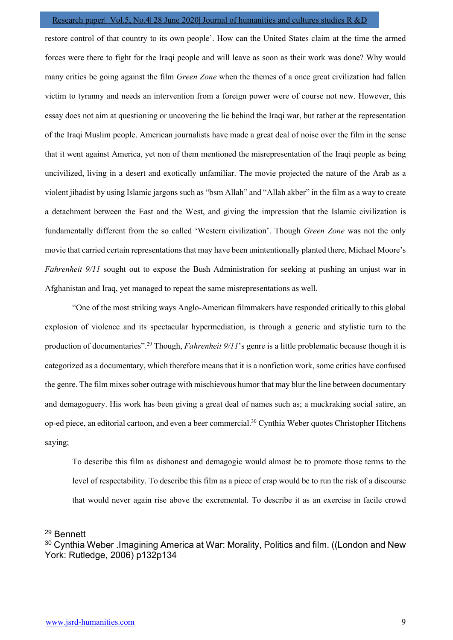restore control of that country to its own people'. How can the United States claim at the time the armed forces were there to fight for the Iraqi people and will leave as soon as their work was done? Why would many critics be going against the film Green Zone when the themes of a once great civilization had fallen victim to tyranny and needs an intervention from a foreign power were of course not new. However, this essay does not aim at questioning or uncovering the lie behind the Iraqi war, but rather at the representation of the Iraqi Muslim people. American journalists have made a great deal of noise over the film in the sense that it went against America, yet non of them mentioned the misrepresentation of the Iraqi people as being uncivilized, living in a desert and exotically unfamiliar. The movie projected the nature of the Arab as a violent jihadist by using Islamic jargons such as "bsm Allah" and "Allah akber" in the film as a way to create a detachment between the East and the West, and giving the impression that the Islamic civilization is fundamentally different from the so called 'Western civilization'. Though Green Zone was not the only movie that carried certain representations that may have been unintentionally planted there, Michael Moore's Fahrenheit 9/11 sought out to expose the Bush Administration for seeking at pushing an unjust war in Afghanistan and Iraq, yet managed to repeat the same misrepresentations as well.

 "One of the most striking ways Anglo-American filmmakers have responded critically to this global explosion of violence and its spectacular hypermediation, is through a generic and stylistic turn to the production of documentaries".<sup>29</sup> Though, *Fahrenheit 9/11*'s genre is a little problematic because though it is categorized as a documentary, which therefore means that it is a nonfiction work, some critics have confused the genre. The film mixes sober outrage with mischievous humor that may blur the line between documentary and demagoguery. His work has been giving a great deal of names such as; a muckraking social satire, an op-ed piece, an editorial cartoon, and even a beer commercial.<sup>30</sup> Cynthia Weber quotes Christopher Hitchens saying;

To describe this film as dishonest and demagogic would almost be to promote those terms to the level of respectability. To describe this film as a piece of crap would be to run the risk of a discourse that would never again rise above the excremental. To describe it as an exercise in facile crowd

<sup>29</sup> Bennett

<sup>&</sup>lt;sup>30</sup> Cynthia Weber .Imagining America at War: Morality, Politics and film. ((London and New York: Rutledge, 2006) p132p134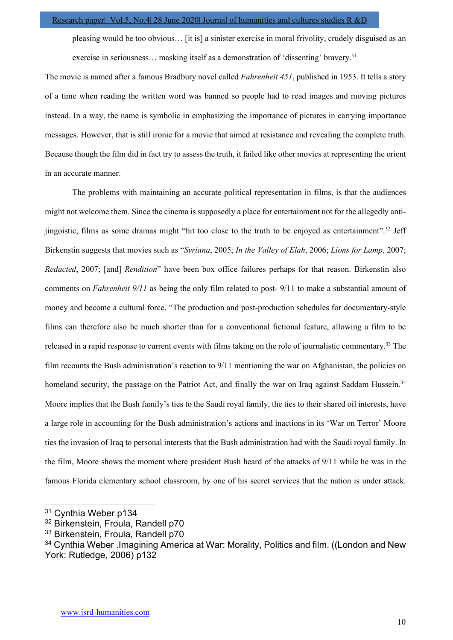pleasing would be too obvious… [it is] a sinister exercise in moral frivolity, crudely disguised as an exercise in seriousness... masking itself as a demonstration of 'dissenting' bravery.<sup>31</sup>

The movie is named after a famous Bradbury novel called Fahrenheit 451, published in 1953. It tells a story of a time when reading the written word was banned so people had to read images and moving pictures instead. In a way, the name is symbolic in emphasizing the importance of pictures in carrying importance messages. However, that is still ironic for a movie that aimed at resistance and revealing the complete truth. Because though the film did in fact try to assess the truth, it failed like other movies at representing the orient in an accurate manner.

 The problems with maintaining an accurate political representation in films, is that the audiences might not welcome them. Since the cinema is supposedly a place for entertainment not for the allegedly antijingoistic, films as some dramas might "hit too close to the truth to be enjoyed as entertainment".<sup>32</sup> Jeff Birkenstin suggests that movies such as "Syriana, 2005; In the Valley of Elah, 2006; Lions for Lamp, 2007; Redacted, 2007; [and] Rendition" have been box office failures perhaps for that reason. Birkenstin also comments on Fahrenheit 9/11 as being the only film related to post- 9/11 to make a substantial amount of money and become a cultural force. "The production and post-production schedules for documentary-style films can therefore also be much shorter than for a conventional fictional feature, allowing a film to be released in a rapid response to current events with films taking on the role of journalistic commentary.<sup>33</sup> The film recounts the Bush administration's reaction to 9/11 mentioning the war on Afghanistan, the policies on homeland security, the passage on the Patriot Act, and finally the war on Iraq against Saddam Hussein.<sup>34</sup> Moore implies that the Bush family's ties to the Saudi royal family, the ties to their shared oil interests, have a large role in accounting for the Bush administration's actions and inactions in its 'War on Terror' Moore ties the invasion of Iraq to personal interests that the Bush administration had with the Saudi royal family. In the film, Moore shows the moment where president Bush heard of the attacks of 9/11 while he was in the famous Florida elementary school classroom, by one of his secret services that the nation is under attack.

<sup>31</sup> Cynthia Weber p134

<sup>&</sup>lt;sup>32</sup> Birkenstein, Froula, Randell p70

<sup>33</sup> Birkenstein, Froula, Randell p70

<sup>&</sup>lt;sup>34</sup> Cynthia Weber .Imagining America at War: Morality, Politics and film. ((London and New York: Rutledge, 2006) p132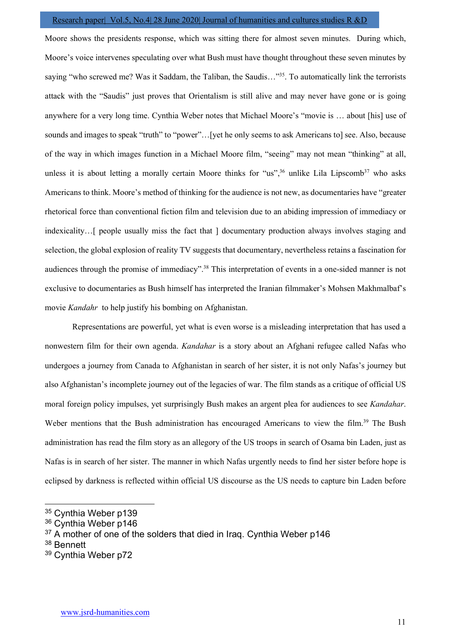Moore shows the presidents response, which was sitting there for almost seven minutes. During which, Moore's voice intervenes speculating over what Bush must have thought throughout these seven minutes by saying "who screwed me? Was it Saddam, the Taliban, the Saudis..."<sup>35</sup>. To automatically link the terrorists attack with the "Saudis" just proves that Orientalism is still alive and may never have gone or is going anywhere for a very long time. Cynthia Weber notes that Michael Moore's "movie is … about [his] use of sounds and images to speak "truth" to "power"...[yet he only seems to ask Americans to] see. Also, because of the way in which images function in a Michael Moore film, "seeing" may not mean "thinking" at all, unless it is about letting a morally certain Moore thinks for "us", $36$  unlike Lila Lipscomb<sup>37</sup> who asks Americans to think. Moore's method of thinking for the audience is not new, as documentaries have "greater rhetorical force than conventional fiction film and television due to an abiding impression of immediacy or indexicality…[ people usually miss the fact that ] documentary production always involves staging and selection, the global explosion of reality TV suggests that documentary, nevertheless retains a fascination for audiences through the promise of immediacy".<sup>38</sup> This interpretation of events in a one-sided manner is not exclusive to documentaries as Bush himself has interpreted the Iranian filmmaker's Mohsen Makhmalbaf's movie Kandahr to help justify his bombing on Afghanistan.

 Representations are powerful, yet what is even worse is a misleading interpretation that has used a nonwestern film for their own agenda. *Kandahar* is a story about an Afghani refugee called Nafas who undergoes a journey from Canada to Afghanistan in search of her sister, it is not only Nafas's journey but also Afghanistan's incomplete journey out of the legacies of war. The film stands as a critique of official US moral foreign policy impulses, yet surprisingly Bush makes an argent plea for audiences to see *Kandahar*. Weber mentions that the Bush administration has encouraged Americans to view the film.<sup>39</sup> The Bush administration has read the film story as an allegory of the US troops in search of Osama bin Laden, just as Nafas is in search of her sister. The manner in which Nafas urgently needs to find her sister before hope is eclipsed by darkness is reflected within official US discourse as the US needs to capture bin Laden before

<sup>35</sup> Cynthia Weber p139

<sup>&</sup>lt;sup>36</sup> Cynthia Weber p146

 $37$  A mother of one of the solders that died in Iraq. Cynthia Weber p146

<sup>38</sup> Bennett

<sup>39</sup> Cynthia Weber p72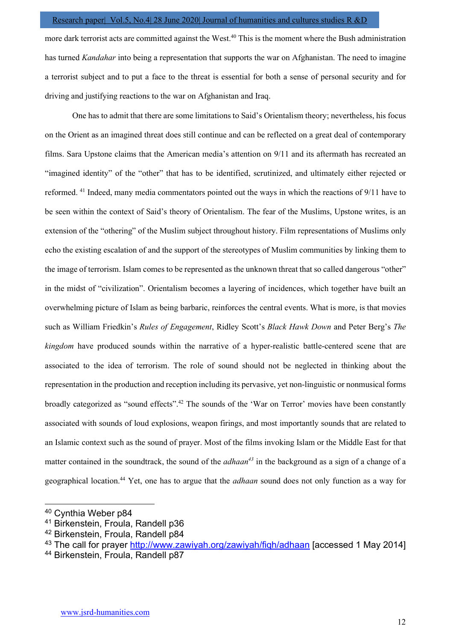more dark terrorist acts are committed against the West.<sup>40</sup> This is the moment where the Bush administration has turned Kandahar into being a representation that supports the war on Afghanistan. The need to imagine a terrorist subject and to put a face to the threat is essential for both a sense of personal security and for driving and justifying reactions to the war on Afghanistan and Iraq.

 One has to admit that there are some limitations to Said's Orientalism theory; nevertheless, his focus on the Orient as an imagined threat does still continue and can be reflected on a great deal of contemporary films. Sara Upstone claims that the American media's attention on 9/11 and its aftermath has recreated an "imagined identity" of the "other" that has to be identified, scrutinized, and ultimately either rejected or reformed. <sup>41</sup> Indeed, many media commentators pointed out the ways in which the reactions of 9/11 have to be seen within the context of Said's theory of Orientalism. The fear of the Muslims, Upstone writes, is an extension of the "othering" of the Muslim subject throughout history. Film representations of Muslims only echo the existing escalation of and the support of the stereotypes of Muslim communities by linking them to the image of terrorism. Islam comes to be represented as the unknown threat that so called dangerous "other" in the midst of "civilization". Orientalism becomes a layering of incidences, which together have built an overwhelming picture of Islam as being barbaric, reinforces the central events. What is more, is that movies such as William Friedkin's Rules of Engagement, Ridley Scott's Black Hawk Down and Peter Berg's The kingdom have produced sounds within the narrative of a hyper-realistic battle-centered scene that are associated to the idea of terrorism. The role of sound should not be neglected in thinking about the representation in the production and reception including its pervasive, yet non-linguistic or nonmusical forms broadly categorized as "sound effects".<sup>42</sup> The sounds of the 'War on Terror' movies have been constantly associated with sounds of loud explosions, weapon firings, and most importantly sounds that are related to an Islamic context such as the sound of prayer. Most of the films invoking Islam or the Middle East for that matter contained in the soundtrack, the sound of the *adhaan*<sup>43</sup> in the background as a sign of a change of a geographical location.<sup>44</sup> Yet, one has to argue that the *adhaan* sound does not only function as a way for

<sup>40</sup> Cynthia Weber p84

<sup>41</sup> Birkenstein, Froula, Randell p36

<sup>42</sup> Birkenstein, Froula, Randell p84

<sup>&</sup>lt;sup>43</sup> The call for prayer http://www.zawiyah.org/zawiyah/fiqh/adhaan [accessed 1 May 2014]

<sup>44</sup> Birkenstein, Froula, Randell p87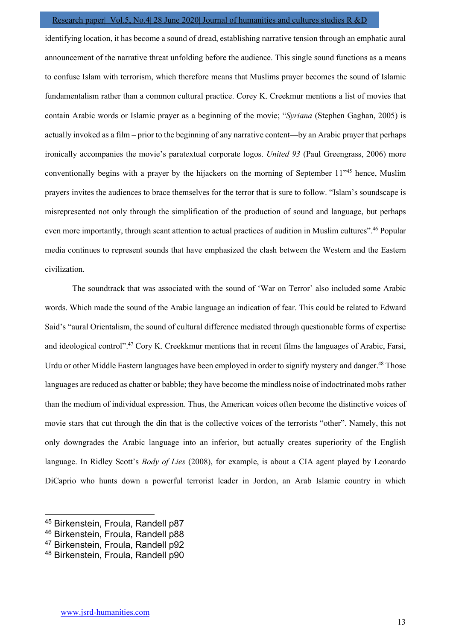identifying location, it has become a sound of dread, establishing narrative tension through an emphatic aural announcement of the narrative threat unfolding before the audience. This single sound functions as a means to confuse Islam with terrorism, which therefore means that Muslims prayer becomes the sound of Islamic fundamentalism rather than a common cultural practice. Corey K. Creekmur mentions a list of movies that contain Arabic words or Islamic prayer as a beginning of the movie; "Syriana (Stephen Gaghan, 2005) is actually invoked as a film – prior to the beginning of any narrative content—by an Arabic prayer that perhaps ironically accompanies the movie's paratextual corporate logos. United 93 (Paul Greengrass, 2006) more conventionally begins with a prayer by the hijackers on the morning of September 11<sup>745</sup> hence, Muslim prayers invites the audiences to brace themselves for the terror that is sure to follow. "Islam's soundscape is misrepresented not only through the simplification of the production of sound and language, but perhaps even more importantly, through scant attention to actual practices of audition in Muslim cultures".<sup>46</sup> Popular media continues to represent sounds that have emphasized the clash between the Western and the Eastern civilization.

 The soundtrack that was associated with the sound of 'War on Terror' also included some Arabic words. Which made the sound of the Arabic language an indication of fear. This could be related to Edward Said's "aural Orientalism, the sound of cultural difference mediated through questionable forms of expertise and ideological control".<sup>47</sup> Cory K. Creekkmur mentions that in recent films the languages of Arabic, Farsi, Urdu or other Middle Eastern languages have been employed in order to signify mystery and danger.<sup>48</sup> Those languages are reduced as chatter or babble; they have become the mindless noise of indoctrinated mobs rather than the medium of individual expression. Thus, the American voices often become the distinctive voices of movie stars that cut through the din that is the collective voices of the terrorists "other". Namely, this not only downgrades the Arabic language into an inferior, but actually creates superiority of the English language. In Ridley Scott's *Body of Lies* (2008), for example, is about a CIA agent played by Leonardo DiCaprio who hunts down a powerful terrorist leader in Jordon, an Arab Islamic country in which

<sup>45</sup> Birkenstein, Froula, Randell p87

<sup>46</sup> Birkenstein, Froula, Randell p88

<sup>47</sup> Birkenstein, Froula, Randell p92

<sup>48</sup> Birkenstein, Froula, Randell p90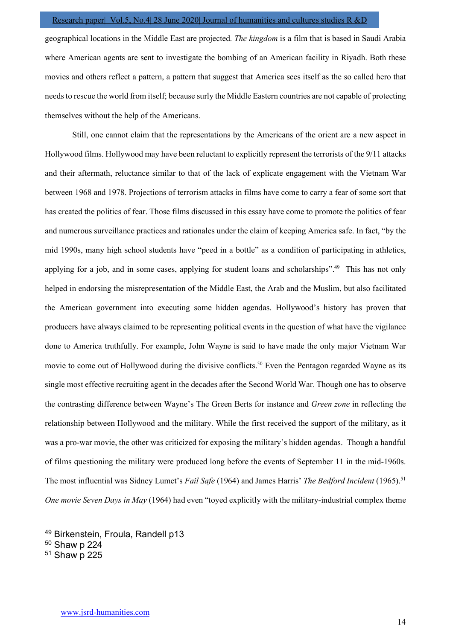geographical locations in the Middle East are projected. The kingdom is a film that is based in Saudi Arabia where American agents are sent to investigate the bombing of an American facility in Riyadh. Both these movies and others reflect a pattern, a pattern that suggest that America sees itself as the so called hero that needs to rescue the world from itself; because surly the Middle Eastern countries are not capable of protecting themselves without the help of the Americans.

 Still, one cannot claim that the representations by the Americans of the orient are a new aspect in Hollywood films. Hollywood may have been reluctant to explicitly represent the terrorists of the 9/11 attacks and their aftermath, reluctance similar to that of the lack of explicate engagement with the Vietnam War between 1968 and 1978. Projections of terrorism attacks in films have come to carry a fear of some sort that has created the politics of fear. Those films discussed in this essay have come to promote the politics of fear and numerous surveillance practices and rationales under the claim of keeping America safe. In fact, "by the mid 1990s, many high school students have "peed in a bottle" as a condition of participating in athletics, applying for a job, and in some cases, applying for student loans and scholarships".<sup>49</sup> This has not only helped in endorsing the misrepresentation of the Middle East, the Arab and the Muslim, but also facilitated the American government into executing some hidden agendas. Hollywood's history has proven that producers have always claimed to be representing political events in the question of what have the vigilance done to America truthfully. For example, John Wayne is said to have made the only major Vietnam War movie to come out of Hollywood during the divisive conflicts.<sup>50</sup> Even the Pentagon regarded Wayne as its single most effective recruiting agent in the decades after the Second World War. Though one has to observe the contrasting difference between Wayne's The Green Berts for instance and Green zone in reflecting the relationship between Hollywood and the military. While the first received the support of the military, as it was a pro-war movie, the other was criticized for exposing the military's hidden agendas. Though a handful of films questioning the military were produced long before the events of September 11 in the mid-1960s. The most influential was Sidney Lumet's Fail Safe (1964) and James Harris' The Bedford Incident (1965).<sup>51</sup> One movie Seven Days in May (1964) had even "toyed explicitly with the military-industrial complex theme

<sup>49</sup> Birkenstein, Froula, Randell p13

<sup>50</sup> Shaw p 224

<sup>51</sup> Shaw p 225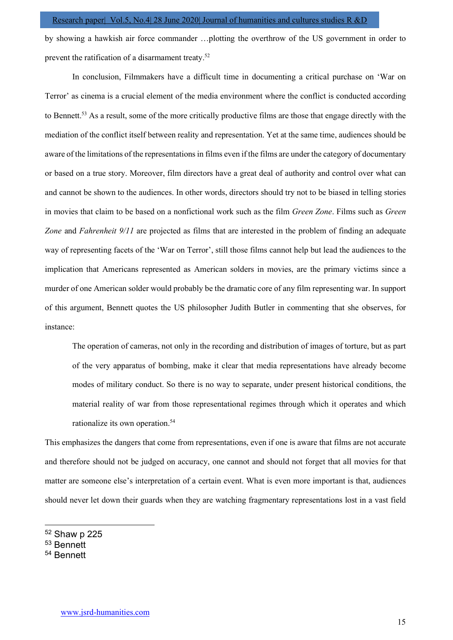by showing a hawkish air force commander …plotting the overthrow of the US government in order to prevent the ratification of a disarmament treaty.<sup>52</sup>

 In conclusion, Filmmakers have a difficult time in documenting a critical purchase on 'War on Terror' as cinema is a crucial element of the media environment where the conflict is conducted according to Bennett.<sup>53</sup> As a result, some of the more critically productive films are those that engage directly with the mediation of the conflict itself between reality and representation. Yet at the same time, audiences should be aware of the limitations of the representations in films even if the films are under the category of documentary or based on a true story. Moreover, film directors have a great deal of authority and control over what can and cannot be shown to the audiences. In other words, directors should try not to be biased in telling stories in movies that claim to be based on a nonfictional work such as the film Green Zone. Films such as Green Zone and Fahrenheit 9/11 are projected as films that are interested in the problem of finding an adequate way of representing facets of the 'War on Terror', still those films cannot help but lead the audiences to the implication that Americans represented as American solders in movies, are the primary victims since a murder of one American solder would probably be the dramatic core of any film representing war. In support of this argument, Bennett quotes the US philosopher Judith Butler in commenting that she observes, for instance:

The operation of cameras, not only in the recording and distribution of images of torture, but as part of the very apparatus of bombing, make it clear that media representations have already become modes of military conduct. So there is no way to separate, under present historical conditions, the material reality of war from those representational regimes through which it operates and which rationalize its own operation.<sup>54</sup>

This emphasizes the dangers that come from representations, even if one is aware that films are not accurate and therefore should not be judged on accuracy, one cannot and should not forget that all movies for that matter are someone else's interpretation of a certain event. What is even more important is that, audiences should never let down their guards when they are watching fragmentary representations lost in a vast field

- <sup>52</sup> Shaw p 225
- <sup>53</sup> Bennett
- 54 Bennett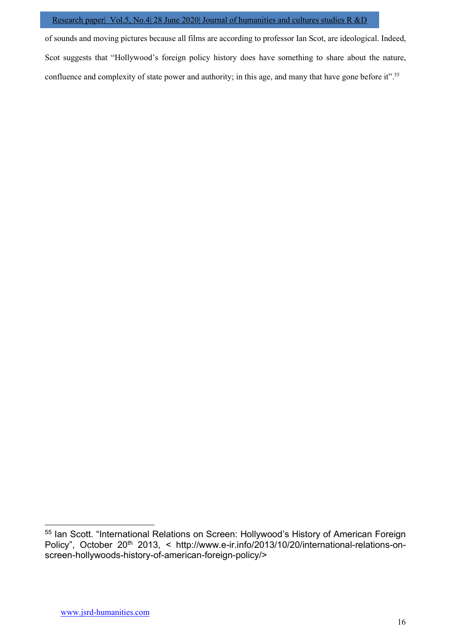of sounds and moving pictures because all films are according to professor Ian Scot, are ideological. Indeed, Scot suggests that "Hollywood's foreign policy history does have something to share about the nature, confluence and complexity of state power and authority; in this age, and many that have gone before it".<sup>55</sup>

<sup>55</sup> Ian Scott. "International Relations on Screen: Hollywood's History of American Foreign Policy", October 20<sup>th</sup> 2013, < http://www.e-ir.info/2013/10/20/international-relations-onscreen-hollywoods-history-of-american-foreign-policy/>